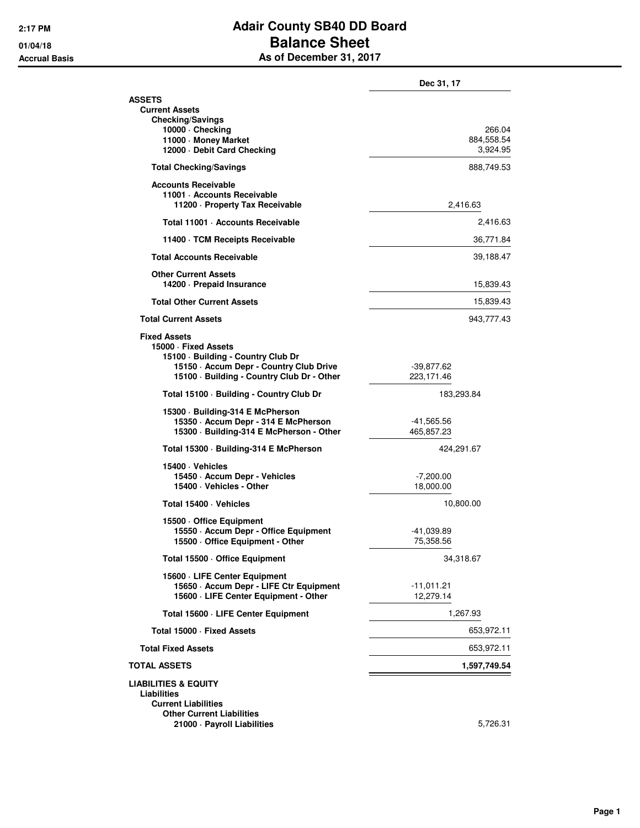## **2:17 PM Adair County SB40 DD Board 01/04/18 Balance Sheet Accrual Basis As of December 31, 2017**

|                                                                                                                                                                            | Dec 31, 17                       |
|----------------------------------------------------------------------------------------------------------------------------------------------------------------------------|----------------------------------|
| <b>ASSETS</b><br><b>Current Assets</b><br><b>Checking/Savings</b>                                                                                                          |                                  |
| 10000 · Checking<br>11000 · Money Market<br>12000 Debit Card Checking                                                                                                      | 266.04<br>884,558.54<br>3,924.95 |
| <b>Total Checking/Savings</b>                                                                                                                                              | 888,749.53                       |
| <b>Accounts Receivable</b><br>11001 · Accounts Receivable<br>11200 - Property Tax Receivable                                                                               | 2,416.63                         |
| Total 11001 · Accounts Receivable                                                                                                                                          | 2,416.63                         |
| 11400 · TCM Receipts Receivable                                                                                                                                            | 36,771.84                        |
| <b>Total Accounts Receivable</b>                                                                                                                                           | 39,188.47                        |
| <b>Other Current Assets</b><br>14200 · Prepaid Insurance                                                                                                                   | 15,839.43                        |
| <b>Total Other Current Assets</b>                                                                                                                                          | 15,839.43                        |
| <b>Total Current Assets</b>                                                                                                                                                | 943,777.43                       |
| <b>Fixed Assets</b><br>15000 · Fixed Assets<br>15100 · Building - Country Club Dr<br>15150 - Accum Depr - Country Club Drive<br>15100 · Building - Country Club Dr - Other | -39,877.62<br>223,171.46         |
| Total 15100 · Building - Country Club Dr                                                                                                                                   | 183,293.84                       |
| 15300 · Building-314 E McPherson<br>15350 - Accum Depr - 314 E McPherson<br>15300 · Building-314 E McPherson - Other                                                       | -41,565.56<br>465,857.23         |
| Total 15300 · Building-314 E McPherson                                                                                                                                     | 424,291.67                       |
| 15400 · Vehicles<br>15450 · Accum Depr - Vehicles<br>15400 · Vehicles - Other                                                                                              | $-7,200.00$<br>18,000.00         |
| Total 15400 · Vehicles                                                                                                                                                     | 10,800.00                        |
| 15500 Office Equipment<br>15550 · Accum Depr - Office Equipment<br>15500 · Office Equipment - Other                                                                        | -41,039.89<br>75,358.56          |
| Total 15500 · Office Equipment                                                                                                                                             | 34,318.67                        |
| 15600 · LIFE Center Equipment<br>15650 - Accum Depr - LIFE Ctr Equipment<br>15600 · LIFE Center Equipment - Other                                                          | $-11,011.21$<br>12,279.14        |
| Total 15600 · LIFE Center Equipment                                                                                                                                        | 1,267.93                         |
| Total 15000 - Fixed Assets                                                                                                                                                 | 653,972.11                       |
| <b>Total Fixed Assets</b>                                                                                                                                                  | 653,972.11                       |
| <b>TOTAL ASSETS</b>                                                                                                                                                        | 1,597,749.54                     |
| <b>LIABILITIES &amp; EQUITY</b><br>Liabilities<br><b>Current Liabilities</b><br><b>Other Current Liabilities</b>                                                           |                                  |
| 21000 · Payroll Liabilities                                                                                                                                                | 5,726.31                         |